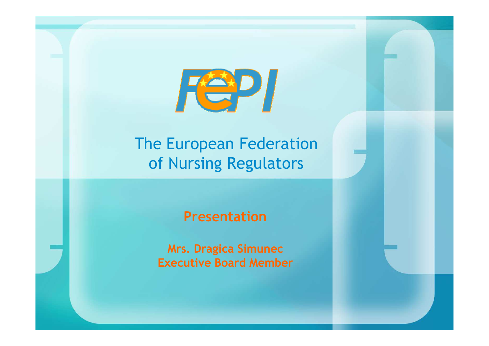

#### The European Federation of Nursing Regulators

#### Presentation

Mrs. Dragica SimunecExecutive Board Member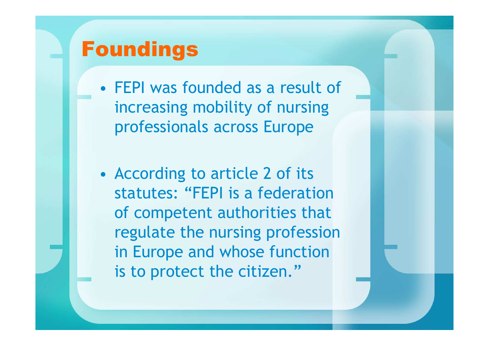## Foundings

- • FEPI was founded as a result of increasing mobility of nursing professionals across Europe
- •• According to article 2 of its statutes: "FEPI is a federation of competent authorities that regulate the nursing profession in Europe and whose function is to protect the citizen."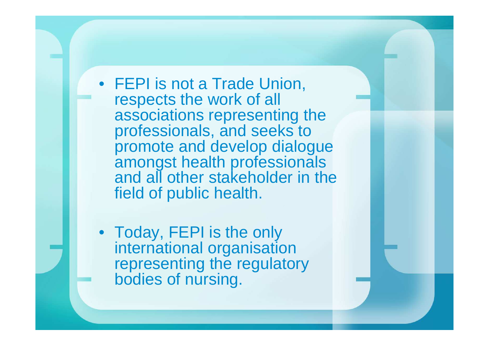• FEPI is not a Trade Union, respects the work of all associations representing the professionals, and seeks to promote and develop dialogue amongst health professionals and all other stakeholder in the field of public health.

• Today, FEPI is the only international organisation representing the regulatory bodies of nursing.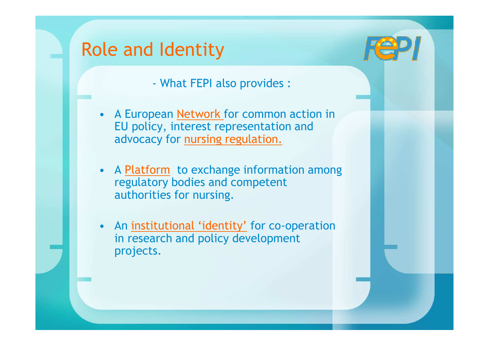#### Role and Identity

What FEPI also provides :

- $\bullet$ A European Network for common action in EU policy, interest representation and advocacy for nursing regulation.
- •• A Platform to exchange information among<br>regulatory bodies and competent regulatory bodies and competent authorities for nursing.
- •An institutional 'identity' for co-operation in research and policy development projects.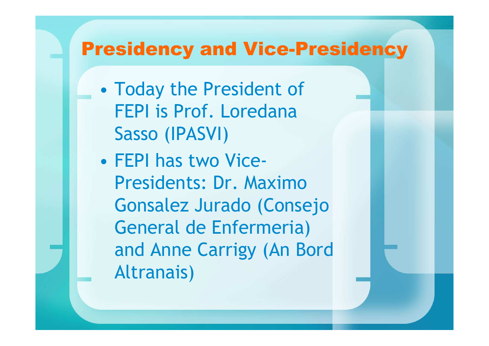#### Presidency and Vice-Presidency

- $\bullet$  Today the President of FEPI is Prof. Loredana Sasso (IPASVI)
- $\bullet$  FEPI has two Vice-Presidents: Dr. Maximo Gonsalez Jurado (Consejo General de Enfermeria) and Anne Carrigy (An Bord Altranais)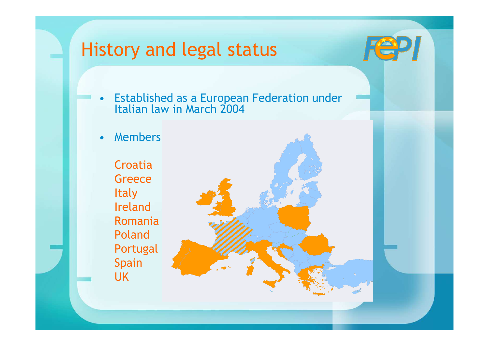### History and legal status

- •Established as a European Federation under Italian law in March 2004
- •Members

Croatia **Greece Italy**  Ireland Romania Poland PortugalSpain UK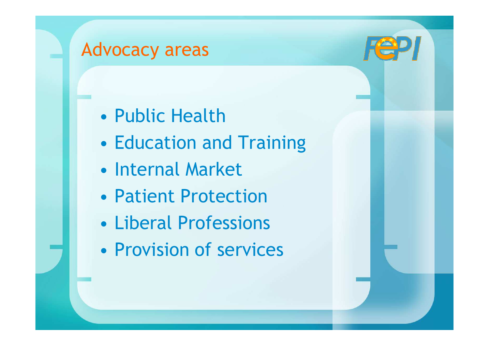### Advocacy areas

- $\bullet$ Public Health
- $\bullet$ Education and Training
- $\bullet$ • Internal Market
- •Patient Protection
- •Liberal Professions
- •Provision of services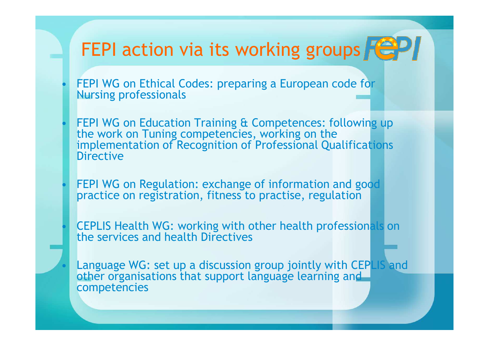# FEPI action via its working groups  $F^2$

 FEPI WG on Ethical Codes: preparing a European code for Nursing professionals

•

•

•

•

 $\bullet$ 

- FEPI WG on Education Training & Competences: following up the work on Tuning competencies, working on the implementation of Recognition of Professional Qualifications **Directive**
- FEPI WG on Regulation: exchange of information and good practice on registration, fitness to practise, regulation
- CEPLIS Health WG: working with other health professionals on the services and health Directives
- Language WG: set up a discussion group jointly with CEPLIS and other organisations that support language learning and competencies